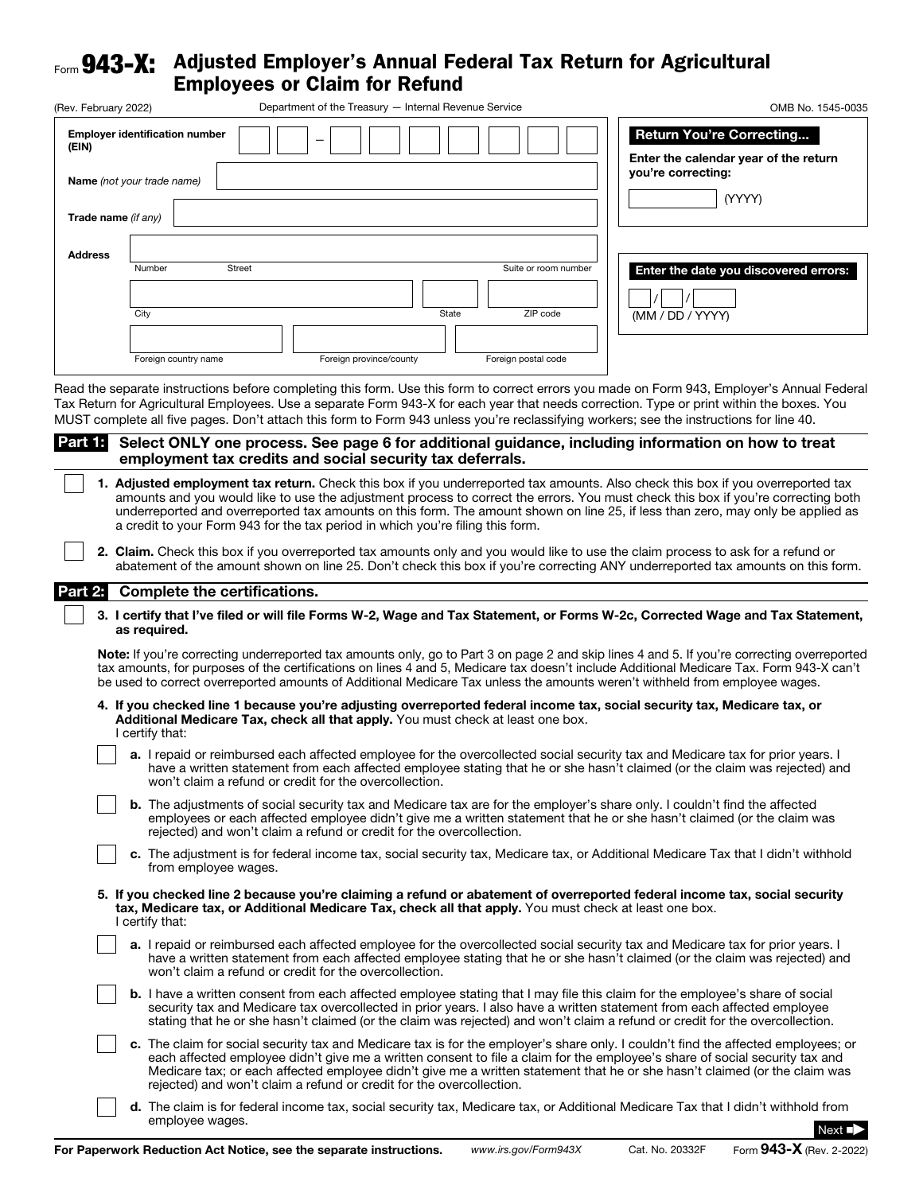## Form **943-X:** Adjusted Employer's Annual Federal Tax Return for Agricultural

| Form <b>943-A.</b>           | Aujusteu Employer s Annual Feueral Tax Return for Agricultural<br><b>Employees or Claim for Refund</b>                                                                                                                                                                                                                                                                                                                                                                                                                                                                                                                                                                                                                                                                                                                                                                                                                                                                                                            |                                                                                                          |
|------------------------------|-------------------------------------------------------------------------------------------------------------------------------------------------------------------------------------------------------------------------------------------------------------------------------------------------------------------------------------------------------------------------------------------------------------------------------------------------------------------------------------------------------------------------------------------------------------------------------------------------------------------------------------------------------------------------------------------------------------------------------------------------------------------------------------------------------------------------------------------------------------------------------------------------------------------------------------------------------------------------------------------------------------------|----------------------------------------------------------------------------------------------------------|
| (Rev. February 2022)         | Department of the Treasury - Internal Revenue Service                                                                                                                                                                                                                                                                                                                                                                                                                                                                                                                                                                                                                                                                                                                                                                                                                                                                                                                                                             | OMB No. 1545-0035                                                                                        |
| (EIN)<br>Trade name (if any) | <b>Employer identification number</b><br>Name (not your trade name)                                                                                                                                                                                                                                                                                                                                                                                                                                                                                                                                                                                                                                                                                                                                                                                                                                                                                                                                               | <b>Return You're Correcting</b><br>Enter the calendar year of the return<br>you're correcting:<br>(YYYY) |
| <b>Address</b>               |                                                                                                                                                                                                                                                                                                                                                                                                                                                                                                                                                                                                                                                                                                                                                                                                                                                                                                                                                                                                                   |                                                                                                          |
|                              | Number<br><b>Street</b><br>Suite or room number<br>ZIP code<br>City<br>State<br>Foreign country name<br>Foreign province/county<br>Foreign postal code                                                                                                                                                                                                                                                                                                                                                                                                                                                                                                                                                                                                                                                                                                                                                                                                                                                            | Enter the date you discovered errors:<br>(MM / DD / YYYY)                                                |
| Part 1:                      | Read the separate instructions before completing this form. Use this form to correct errors you made on Form 943, Employer's Annual Federal<br>Tax Return for Agricultural Employees. Use a separate Form 943-X for each year that needs correction. Type or print within the boxes. You<br>MUST complete all five pages. Don't attach this form to Form 943 unless you're reclassifying workers; see the instructions for line 40.<br>Select ONLY one process. See page 6 for additional guidance, including information on how to treat<br>employment tax credits and social security tax deferrals.<br>1. Adjusted employment tax return. Check this box if you underreported tax amounts. Also check this box if you overreported tax<br>amounts and you would like to use the adjustment process to correct the errors. You must check this box if you're correcting both<br>underreported and overreported tax amounts on this form. The amount shown on line 25, if less than zero, may only be applied as |                                                                                                          |
|                              | a credit to your Form 943 for the tax period in which you're filing this form.<br>2. Claim. Check this box if you overreported tax amounts only and you would like to use the claim process to ask for a refund or<br>abatement of the amount shown on line 25. Don't check this box if you're correcting ANY underreported tax amounts on this form.                                                                                                                                                                                                                                                                                                                                                                                                                                                                                                                                                                                                                                                             |                                                                                                          |
| Part 2:                      | <b>Complete the certifications.</b>                                                                                                                                                                                                                                                                                                                                                                                                                                                                                                                                                                                                                                                                                                                                                                                                                                                                                                                                                                               |                                                                                                          |
|                              | 3. I certify that I've filed or will file Forms W-2, Wage and Tax Statement, or Forms W-2c, Corrected Wage and Tax Statement,<br>as required.                                                                                                                                                                                                                                                                                                                                                                                                                                                                                                                                                                                                                                                                                                                                                                                                                                                                     |                                                                                                          |
|                              | <b>Note:</b> If you're correcting underreported tax amounts only, go to Part 3 on page 2 and skip lines 4 and 5. If you're correcting overreported<br>tax amounts, for purposes of the certifications on lines 4 and 5, Medicare tax doesn't include Additional Medicare Tax. Form 943-X can't<br>be used to correct overreported amounts of Additional Medicare Tax unless the amounts weren't withheld from employee wages.                                                                                                                                                                                                                                                                                                                                                                                                                                                                                                                                                                                     |                                                                                                          |
|                              | 4. If you checked line 1 because you're adjusting overreported federal income tax, social security tax, Medicare tax, or<br>Additional Medicare Tax, check all that apply. You must check at least one box.<br>I certify that:                                                                                                                                                                                                                                                                                                                                                                                                                                                                                                                                                                                                                                                                                                                                                                                    |                                                                                                          |
|                              | a. I repaid or reimbursed each affected employee for the overcollected social security tax and Medicare tax for prior years. I<br>have a written statement from each affected employee stating that he or she hasn't claimed (or the claim was rejected) and<br>won't claim a refund or credit for the overcollection.                                                                                                                                                                                                                                                                                                                                                                                                                                                                                                                                                                                                                                                                                            |                                                                                                          |
|                              | <b>b.</b> The adjustments of social security tax and Medicare tax are for the employer's share only. I couldn't find the affected<br>employees or each affected employee didn't give me a written statement that he or she hasn't claimed (or the claim was<br>rejected) and won't claim a refund or credit for the overcollection.                                                                                                                                                                                                                                                                                                                                                                                                                                                                                                                                                                                                                                                                               |                                                                                                          |

c. The adjustment is for federal income tax, social security tax, Medicare tax, or Additional Medicare Tax that I didn't withhold from employee wages.

- 5. If you checked line 2 because you're claiming a refund or abatement of overreported federal income tax, social security tax, Medicare tax, or Additional Medicare Tax, check all that apply. You must check at least one box. I certify that:
	- a. I repaid or reimbursed each affected employee for the overcollected social security tax and Medicare tax for prior years. I have a written statement from each affected employee stating that he or she hasn't claimed (or the claim was rejected) and won't claim a refund or credit for the overcollection.
	- b. I have a written consent from each affected employee stating that I may file this claim for the employee's share of social security tax and Medicare tax overcollected in prior years. I also have a written statement from each affected employee stating that he or she hasn't claimed (or the claim was rejected) and won't claim a refund or credit for the overcollection.
	- c. The claim for social security tax and Medicare tax is for the employer's share only. I couldn't find the affected employees; or each affected employee didn't give me a written consent to file a claim for the employee's share of social security tax and Medicare tax; or each affected employee didn't give me a written statement that he or she hasn't claimed (or the claim was rejected) and won't claim a refund or credit for the overcollection.
		- d. The claim is for federal income tax, social security tax, Medicare tax, or Additional Medicare Tax that I didn't withhold from employee wages. Next ■▶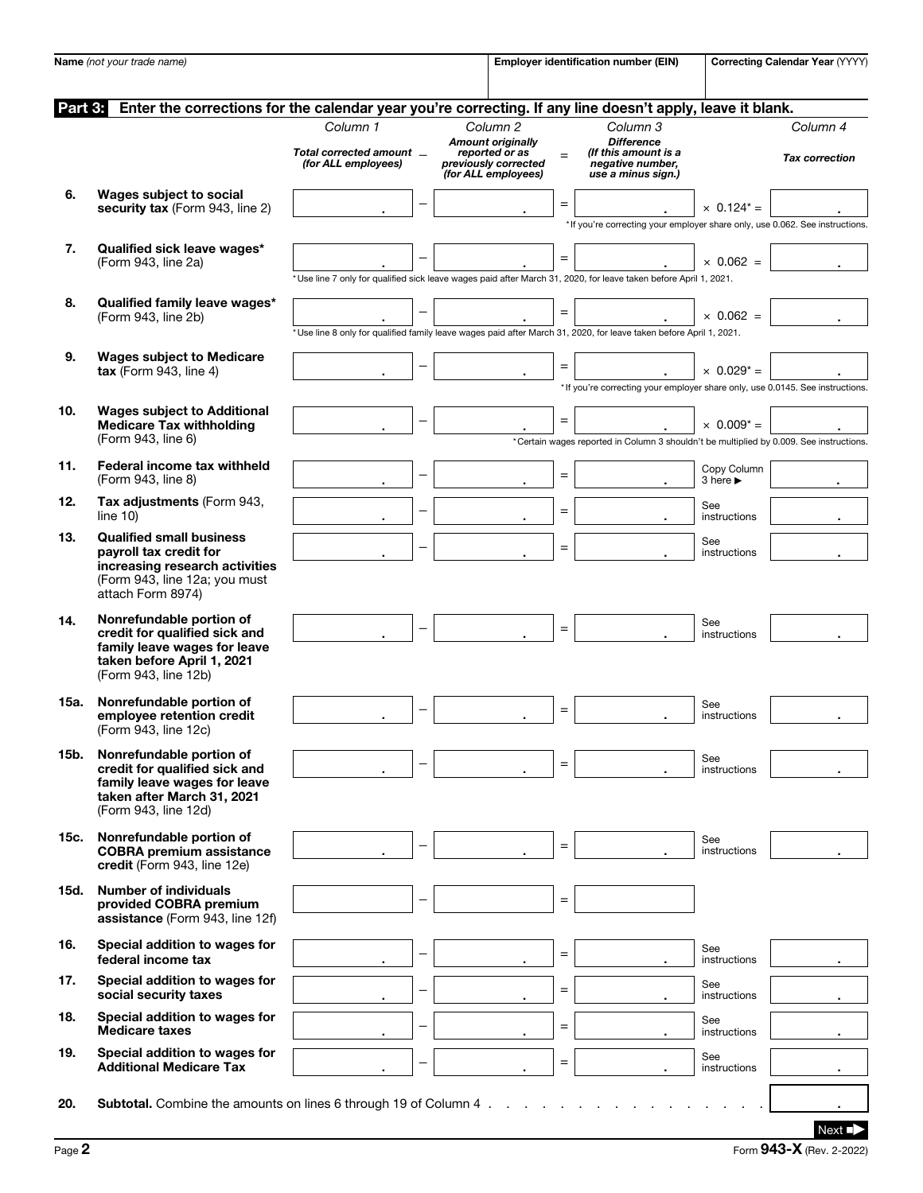|         | Name (not your trade name)                                                                                                                      |                                                 |                          |                                                                                           |     | <b>Employer identification number (EIN)</b>                                                                        |                                             | Correcting Calendar Year (YYYY) |
|---------|-------------------------------------------------------------------------------------------------------------------------------------------------|-------------------------------------------------|--------------------------|-------------------------------------------------------------------------------------------|-----|--------------------------------------------------------------------------------------------------------------------|---------------------------------------------|---------------------------------|
|         |                                                                                                                                                 |                                                 |                          |                                                                                           |     |                                                                                                                    |                                             |                                 |
|         |                                                                                                                                                 |                                                 |                          |                                                                                           |     |                                                                                                                    |                                             |                                 |
| Part 3: | Enter the corrections for the calendar year you're correcting. If any line doesn't apply, leave it blank.                                       |                                                 |                          |                                                                                           |     |                                                                                                                    |                                             |                                 |
|         |                                                                                                                                                 | Column 1                                        |                          | Column <sub>2</sub>                                                                       |     | Column 3                                                                                                           |                                             | Column 4                        |
|         |                                                                                                                                                 | Total corrected amount _<br>(for ALL employees) |                          | <b>Amount originally</b><br>reported or as<br>previously corrected<br>(for ALL employees) | $=$ | <b>Difference</b><br>(If this amount is a<br>negative number,<br>use a minus sign.)                                |                                             | <b>Tax correction</b>           |
| 6.      | Wages subject to social<br>security tax (Form 943, line 2)                                                                                      |                                                 |                          |                                                                                           | $=$ |                                                                                                                    | $\times$ 0.124* =                           |                                 |
|         |                                                                                                                                                 |                                                 |                          |                                                                                           |     | * If you're correcting your employer share only, use 0.062. See instructions.                                      |                                             |                                 |
| 7.      | Qualified sick leave wages*<br>(Form 943, line 2a)                                                                                              |                                                 |                          |                                                                                           | $=$ |                                                                                                                    | $\times$ 0.062 =                            |                                 |
|         |                                                                                                                                                 |                                                 |                          |                                                                                           |     | *Use line 7 only for qualified sick leave wages paid after March 31, 2020, for leave taken before April 1, 2021.   |                                             |                                 |
| 8.      | Qualified family leave wages*<br>(Form 943, line 2b)                                                                                            |                                                 |                          |                                                                                           | $=$ | *Use line 8 only for qualified family leave wages paid after March 31, 2020, for leave taken before April 1, 2021. | $\times$ 0.062 =                            |                                 |
| 9.      | <b>Wages subject to Medicare</b>                                                                                                                |                                                 |                          |                                                                                           |     |                                                                                                                    |                                             |                                 |
|         | $\textsf{tax}$ (Form 943, line 4)                                                                                                               |                                                 |                          |                                                                                           | $=$ | * If you're correcting your employer share only, use 0.0145. See instructions.                                     | $\times$ 0.029 <sup>*</sup> =               |                                 |
| 10.     | <b>Wages subject to Additional</b><br><b>Medicare Tax withholding</b>                                                                           |                                                 |                          |                                                                                           | $=$ |                                                                                                                    | $\times$ 0.009 <sup>*</sup> =               |                                 |
|         | (Form 943, line 6)                                                                                                                              |                                                 |                          |                                                                                           |     | *Certain wages reported in Column 3 shouldn't be multiplied by 0.009. See instructions.                            |                                             |                                 |
| 11.     | Federal income tax withheld<br>(Form 943, line 8)                                                                                               |                                                 | —                        |                                                                                           | $=$ |                                                                                                                    | Copy Column<br>3 here $\blacktriangleright$ |                                 |
| 12.     | Tax adjustments (Form 943,<br>line $10$ )                                                                                                       |                                                 |                          |                                                                                           | $=$ |                                                                                                                    | See<br>instructions                         |                                 |
| 13.     | <b>Qualified small business</b><br>payroll tax credit for                                                                                       |                                                 |                          |                                                                                           | $=$ |                                                                                                                    | See<br>instructions                         |                                 |
|         | increasing research activities<br>(Form 943, line 12a; you must<br>attach Form 8974)                                                            |                                                 |                          |                                                                                           |     |                                                                                                                    |                                             |                                 |
| 14.     | Nonrefundable portion of<br>credit for qualified sick and<br>family leave wages for leave<br>taken before April 1, 2021<br>(Form 943, line 12b) |                                                 |                          |                                                                                           | $=$ |                                                                                                                    | See<br>instructions                         |                                 |
| 15a.    | Nonrefundable portion of<br>emplovee retention credit<br>(Form 943, line 12c)                                                                   |                                                 |                          |                                                                                           | $=$ |                                                                                                                    | See<br>instructions                         |                                 |
| 15b.    | Nonrefundable portion of<br>credit for qualified sick and<br>family leave wages for leave<br>taken after March 31, 2021<br>(Form 943, line 12d) |                                                 |                          |                                                                                           | $=$ |                                                                                                                    | See<br>instructions                         |                                 |
| 15c.    | Nonrefundable portion of<br><b>COBRA premium assistance</b><br>credit (Form 943, line 12e)                                                      |                                                 | —                        |                                                                                           | $=$ |                                                                                                                    | See<br>instructions                         |                                 |
| 15d.    | <b>Number of individuals</b><br>provided COBRA premium<br>assistance (Form 943, line 12f)                                                       |                                                 | -                        |                                                                                           | $=$ |                                                                                                                    |                                             |                                 |
| 16.     | Special addition to wages for<br>federal income tax                                                                                             |                                                 | -                        |                                                                                           | $=$ |                                                                                                                    | See<br>instructions                         |                                 |
| 17.     | Special addition to wages for<br>social security taxes                                                                                          |                                                 | $\overline{\phantom{0}}$ |                                                                                           | $=$ |                                                                                                                    | See<br>instructions                         |                                 |
| 18.     | Special addition to wages for<br><b>Medicare taxes</b>                                                                                          |                                                 | $\equiv$                 |                                                                                           | $=$ |                                                                                                                    | See<br>instructions                         |                                 |
| 19.     | Special addition to wages for<br><b>Additional Medicare Tax</b>                                                                                 |                                                 | $\equiv$                 |                                                                                           | $=$ |                                                                                                                    | See<br>instructions                         |                                 |
| 20.     | <b>Subtotal.</b> Combine the amounts on lines 6 through 19 of Column 4.                                                                         |                                                 |                          |                                                                                           |     |                                                                                                                    |                                             |                                 |
|         |                                                                                                                                                 |                                                 |                          |                                                                                           |     |                                                                                                                    |                                             | Next $\blacksquare$             |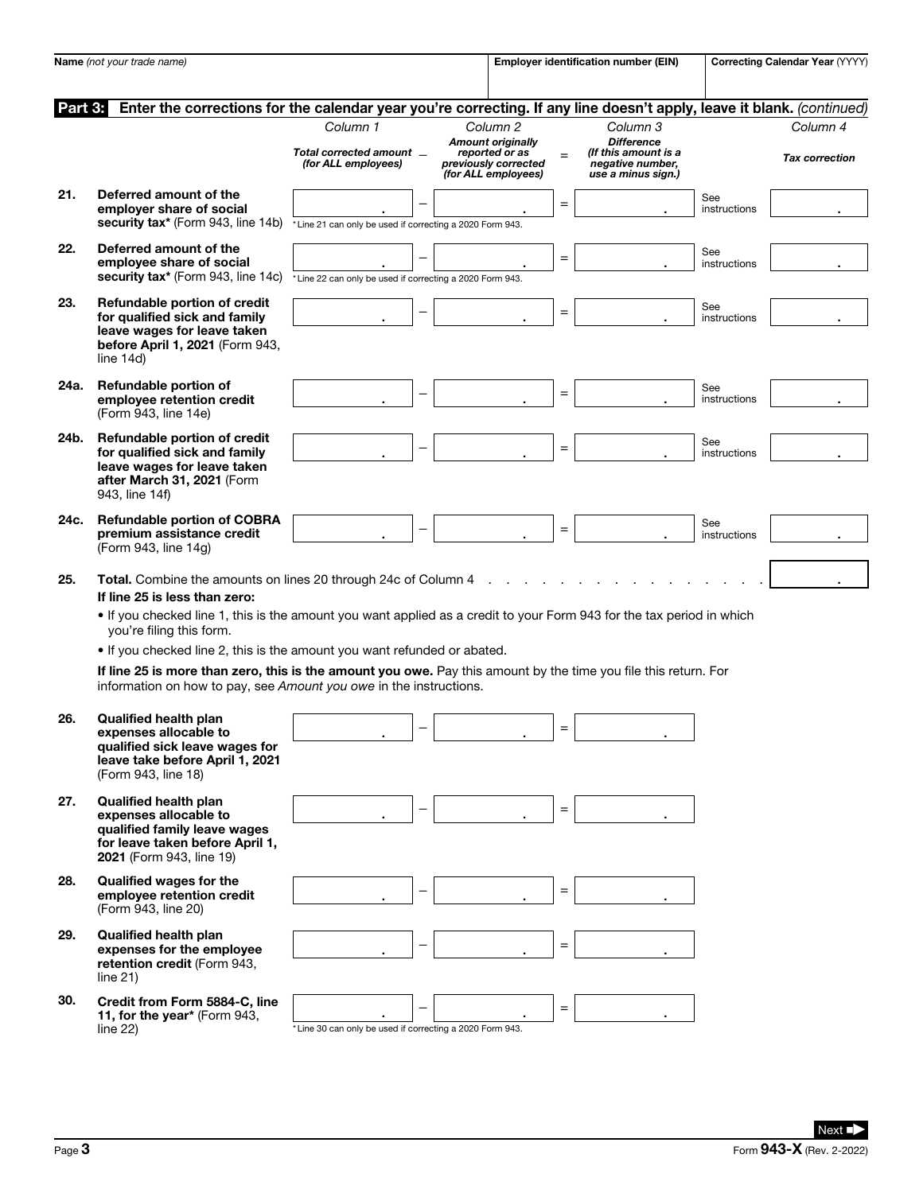| Name (not your trade name) |                                                                                                                                                                                       |                                                             |   |                                                                                                                  | <b>Employer identification number (EIN)</b> |                                                                                                 |                     | Correcting Calendar Year (YYYY)   |  |
|----------------------------|---------------------------------------------------------------------------------------------------------------------------------------------------------------------------------------|-------------------------------------------------------------|---|------------------------------------------------------------------------------------------------------------------|---------------------------------------------|-------------------------------------------------------------------------------------------------|---------------------|-----------------------------------|--|
| Part 3:                    | Enter the corrections for the calendar year you're correcting. If any line doesn't apply, leave it blank. (continued)                                                                 |                                                             |   |                                                                                                                  |                                             |                                                                                                 |                     |                                   |  |
|                            |                                                                                                                                                                                       | Column 1<br>Total corrected amount _<br>(for ALL employees) |   | Column <sub>2</sub><br><b>Amount originally</b><br>reported or as<br>previously corrected<br>(for ALL employees) | $=$                                         | Column 3<br><b>Difference</b><br>(If this amount is a<br>negative number,<br>use a minus sign.) |                     | Column 4<br><b>Tax correction</b> |  |
| 21.                        | Deferred amount of the<br>employer share of social<br>security tax* (Form 943, line 14b)                                                                                              | *Line 21 can only be used if correcting a 2020 Form 943.    |   |                                                                                                                  | $\qquad \qquad =$                           |                                                                                                 | See<br>instructions |                                   |  |
| 22.                        | Deferred amount of the<br>emplovee share of social<br>security tax* (Form 943, line 14c)                                                                                              | *Line 22 can only be used if correcting a 2020 Form 943.    |   |                                                                                                                  | $\equiv$                                    |                                                                                                 | See<br>instructions |                                   |  |
| 23.                        | Refundable portion of credit<br>for qualified sick and family<br>leave wages for leave taken<br>before April 1, 2021 (Form 943,<br>line $14d$ )                                       |                                                             |   |                                                                                                                  | $=$                                         |                                                                                                 | See<br>instructions |                                   |  |
| 24a.                       | Refundable portion of<br>employee retention credit<br>(Form 943, line 14e)                                                                                                            |                                                             | - |                                                                                                                  | $=$                                         |                                                                                                 | See<br>instructions |                                   |  |
| 24b.                       | Refundable portion of credit<br>for qualified sick and family<br>leave wages for leave taken<br>after March 31, 2021 (Form<br>943, line 14f)                                          |                                                             |   |                                                                                                                  | $=$                                         |                                                                                                 | See<br>instructions |                                   |  |
| 24c.                       | <b>Refundable portion of COBRA</b><br>premium assistance credit<br>(Form 943, line 14g)                                                                                               |                                                             |   |                                                                                                                  | $=$                                         |                                                                                                 | See<br>instructions |                                   |  |
| 25.                        | Total. Combine the amounts on lines 20 through 24c of Column 4<br>If line 25 is less than zero:                                                                                       |                                                             |   |                                                                                                                  |                                             |                                                                                                 |                     |                                   |  |
|                            | • If you checked line 1, this is the amount you want applied as a credit to your Form 943 for the tax period in which<br>you're filing this form.                                     |                                                             |   |                                                                                                                  |                                             |                                                                                                 |                     |                                   |  |
|                            | • If you checked line 2, this is the amount you want refunded or abated.                                                                                                              |                                                             |   |                                                                                                                  |                                             |                                                                                                 |                     |                                   |  |
|                            | If line 25 is more than zero, this is the amount you owe. Pay this amount by the time you file this return. For<br>information on how to pay, see Amount you owe in the instructions. |                                                             |   |                                                                                                                  |                                             |                                                                                                 |                     |                                   |  |
| 26.                        | <b>Qualified health plan</b><br>expenses allocable to<br>qualified sick leave wages for<br>leave take before April 1, 2021<br>(Form 943, line 18)                                     |                                                             |   |                                                                                                                  |                                             |                                                                                                 |                     |                                   |  |
| 27.                        | <b>Qualified health plan</b><br>expenses allocable to<br>qualified family leave wages<br>for leave taken before April 1,<br>2021 (Form 943, line 19)                                  |                                                             |   |                                                                                                                  | $=$                                         |                                                                                                 |                     |                                   |  |
| 28.                        | <b>Qualified wages for the</b><br>employee retention credit<br>(Form 943, line 20)                                                                                                    |                                                             |   |                                                                                                                  | $=$                                         |                                                                                                 |                     |                                   |  |
| 29.                        | <b>Qualified health plan</b><br>expenses for the employee<br>retention credit (Form 943,<br>line 21)                                                                                  |                                                             |   |                                                                                                                  | $=$                                         |                                                                                                 |                     |                                   |  |
| 30.                        | Credit from Form 5884-C, line<br>11, for the year* (Form 943,<br>line $22$ )                                                                                                          | *Line 30 can only be used if correcting a 2020 Form 943.    |   |                                                                                                                  | $=$                                         |                                                                                                 |                     |                                   |  |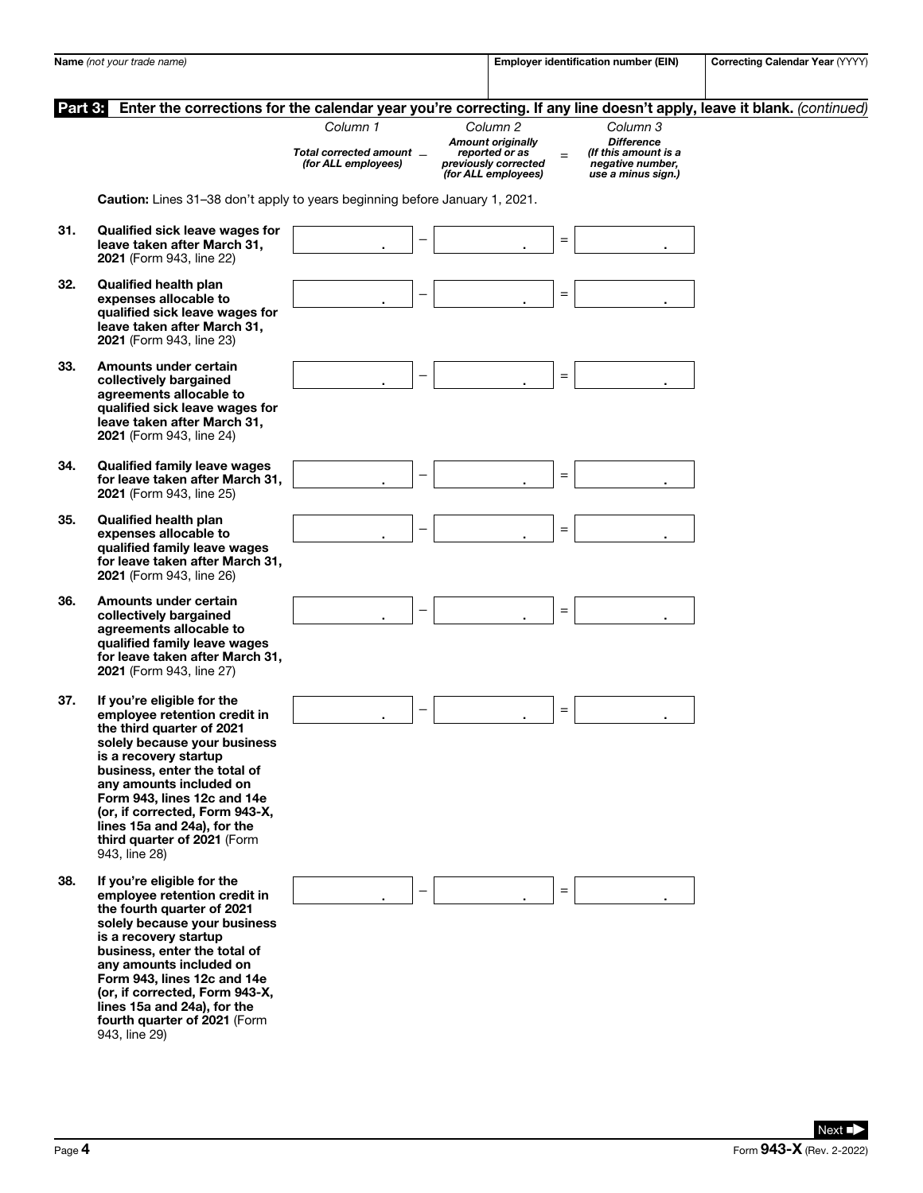|         | Name (not your trade name)                                                                                                                                                                                                                                                                                                                                    |                                                             |   | Employer identification number (EIN)                                                                  |     | Correcting Calendar Year (YYYY)                                                                 |                                                                                                                       |
|---------|---------------------------------------------------------------------------------------------------------------------------------------------------------------------------------------------------------------------------------------------------------------------------------------------------------------------------------------------------------------|-------------------------------------------------------------|---|-------------------------------------------------------------------------------------------------------|-----|-------------------------------------------------------------------------------------------------|-----------------------------------------------------------------------------------------------------------------------|
| Part 3: |                                                                                                                                                                                                                                                                                                                                                               |                                                             |   |                                                                                                       |     |                                                                                                 | Enter the corrections for the calendar year you're correcting. If any line doesn't apply, leave it blank. (continued) |
|         |                                                                                                                                                                                                                                                                                                                                                               | Column 1<br>Total corrected amount _<br>(for ALL employees) |   | Column 2<br><b>Amount originally</b><br>reported or as<br>previously corrected<br>(for ALL employees) | $=$ | Column 3<br><b>Difference</b><br>(If this amount is a<br>negative number,<br>use a minus sign.) |                                                                                                                       |
|         | Caution: Lines 31-38 don't apply to years beginning before January 1, 2021.                                                                                                                                                                                                                                                                                   |                                                             |   |                                                                                                       |     |                                                                                                 |                                                                                                                       |
| 31.     | Qualified sick leave wages for<br>leave taken after March 31,<br>2021 (Form 943, line 22)                                                                                                                                                                                                                                                                     |                                                             |   |                                                                                                       | $=$ |                                                                                                 |                                                                                                                       |
| 32.     | <b>Qualified health plan</b><br>expenses allocable to<br>qualified sick leave wages for<br>leave taken after March 31,<br>2021 (Form 943, line 23)                                                                                                                                                                                                            |                                                             |   |                                                                                                       | $=$ |                                                                                                 |                                                                                                                       |
| 33.     | Amounts under certain<br>collectively bargained<br>agreements allocable to<br>qualified sick leave wages for<br>leave taken after March 31.<br>2021 (Form 943, line 24)                                                                                                                                                                                       |                                                             |   |                                                                                                       | $=$ |                                                                                                 |                                                                                                                       |
| 34.     | <b>Qualified family leave wages</b><br>for leave taken after March 31,<br>2021 (Form 943, line 25)                                                                                                                                                                                                                                                            |                                                             |   |                                                                                                       | $=$ |                                                                                                 |                                                                                                                       |
| 35.     | <b>Qualified health plan</b><br>expenses allocable to<br>qualified family leave wages<br>for leave taken after March 31,<br>2021 (Form 943, line 26)                                                                                                                                                                                                          |                                                             |   |                                                                                                       | $=$ |                                                                                                 |                                                                                                                       |
| 36.     | Amounts under certain<br>collectively bargained<br>agreements allocable to<br>qualified family leave wages<br>for leave taken after March 31,<br>2021 (Form 943, line 27)                                                                                                                                                                                     |                                                             |   |                                                                                                       | $=$ |                                                                                                 |                                                                                                                       |
| 37.     | If you're eligible for the<br>emplovee retention credit in<br>the third quarter of 2021<br>solely because your business<br>is a recovery startup<br>business, enter the total of<br>any amounts included on<br>Form 943, lines 12c and 14e<br>(or, if corrected, Form 943-X,<br>lines 15a and 24a), for the<br>third quarter of 2021 (Form<br>943, line 28)   |                                                             |   |                                                                                                       | $=$ |                                                                                                 |                                                                                                                       |
| 38.     | If you're eligible for the<br>employee retention credit in<br>the fourth quarter of 2021<br>solely because your business<br>is a recovery startup<br>business, enter the total of<br>any amounts included on<br>Form 943, lines 12c and 14e<br>(or, if corrected, Form 943-X,<br>lines 15a and 24a), for the<br>fourth quarter of 2021 (Form<br>943, line 29) |                                                             | — |                                                                                                       | $=$ |                                                                                                 |                                                                                                                       |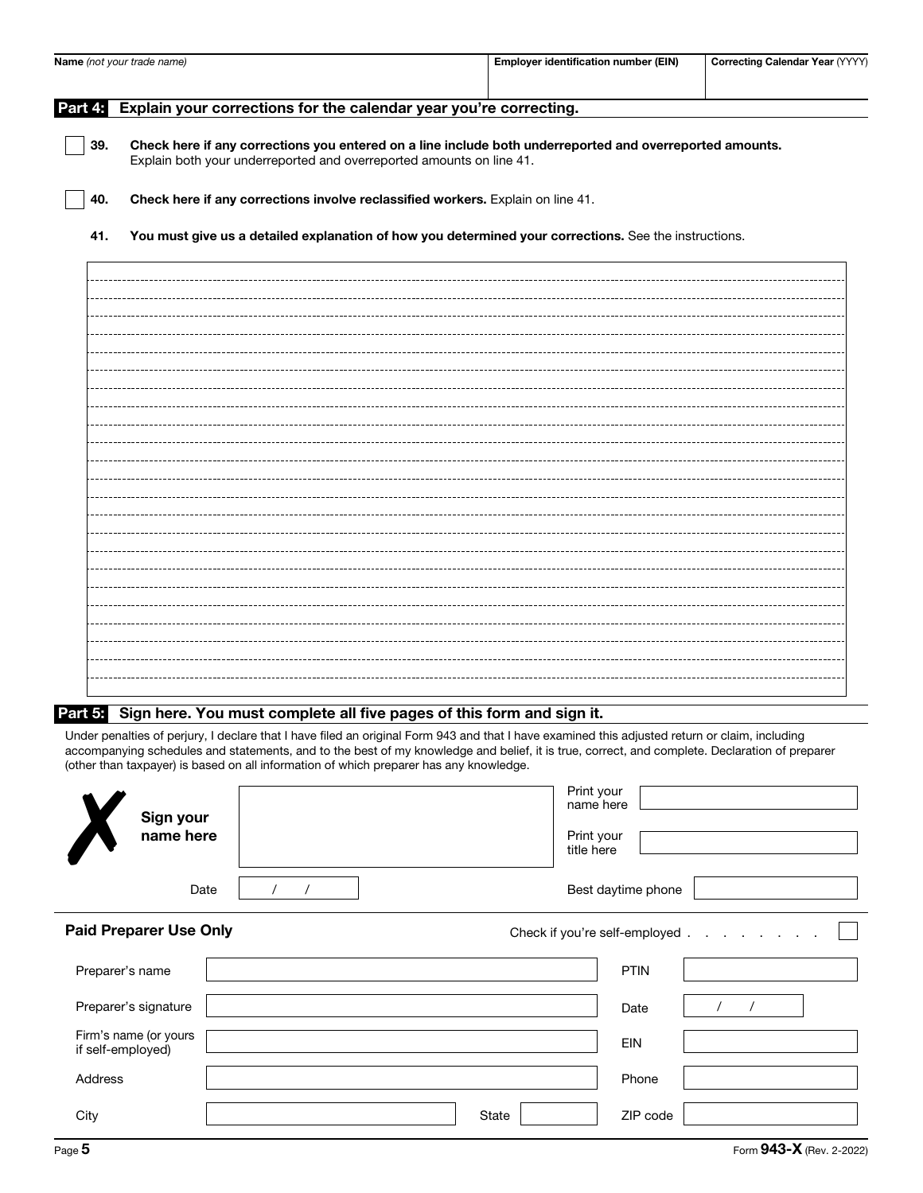| Name (not your trade name) |                        |                                                                                                                                                                         | <b>Employer identification number (EIN)</b> | Correcting Calendar Year (YYYY)                                                                                                                                                                                                                                                                 |  |
|----------------------------|------------------------|-------------------------------------------------------------------------------------------------------------------------------------------------------------------------|---------------------------------------------|-------------------------------------------------------------------------------------------------------------------------------------------------------------------------------------------------------------------------------------------------------------------------------------------------|--|
| Part 4:                    |                        | Explain your corrections for the calendar year you're correcting.                                                                                                       |                                             |                                                                                                                                                                                                                                                                                                 |  |
| 39.                        |                        | Explain both your underreported and overreported amounts on line 41.                                                                                                    |                                             | Check here if any corrections you entered on a line include both underreported and overreported amounts.                                                                                                                                                                                        |  |
| 40.                        |                        | Check here if any corrections involve reclassified workers. Explain on line 41.                                                                                         |                                             |                                                                                                                                                                                                                                                                                                 |  |
| 41.                        |                        |                                                                                                                                                                         |                                             | You must give us a detailed explanation of how you determined your corrections. See the instructions.                                                                                                                                                                                           |  |
|                            |                        |                                                                                                                                                                         |                                             |                                                                                                                                                                                                                                                                                                 |  |
|                            |                        |                                                                                                                                                                         |                                             |                                                                                                                                                                                                                                                                                                 |  |
|                            |                        |                                                                                                                                                                         |                                             |                                                                                                                                                                                                                                                                                                 |  |
|                            |                        |                                                                                                                                                                         |                                             |                                                                                                                                                                                                                                                                                                 |  |
|                            |                        |                                                                                                                                                                         |                                             |                                                                                                                                                                                                                                                                                                 |  |
|                            |                        |                                                                                                                                                                         |                                             |                                                                                                                                                                                                                                                                                                 |  |
|                            |                        |                                                                                                                                                                         |                                             |                                                                                                                                                                                                                                                                                                 |  |
|                            |                        |                                                                                                                                                                         |                                             |                                                                                                                                                                                                                                                                                                 |  |
|                            |                        |                                                                                                                                                                         |                                             |                                                                                                                                                                                                                                                                                                 |  |
|                            |                        |                                                                                                                                                                         |                                             |                                                                                                                                                                                                                                                                                                 |  |
|                            |                        |                                                                                                                                                                         |                                             |                                                                                                                                                                                                                                                                                                 |  |
|                            |                        | Part 5: Sign here. You must complete all five pages of this form and sign it.<br>(other than taxpayer) is based on all information of which preparer has any knowledge. |                                             | Under penalties of perjury, I declare that I have filed an original Form 943 and that I have examined this adjusted return or claim, including<br>accompanying schedules and statements, and to the best of my knowledge and belief, it is true, correct, and complete. Declaration of preparer |  |
|                            | Sign your<br>name here |                                                                                                                                                                         |                                             | Print your<br>name here<br>Print your<br>title here                                                                                                                                                                                                                                             |  |

Date  $/ / /$ 

Best daytime phone

Paid Preparer Use Only **Paid Preparer Use Only Check if you're self-employed** . Preparer's name Preparer's name Preparer's signature |  $\sqrt{2}$  /  $\sqrt{2}$ Firm's name (or yours if self-employed) EIN Address Phone City State ZIP code